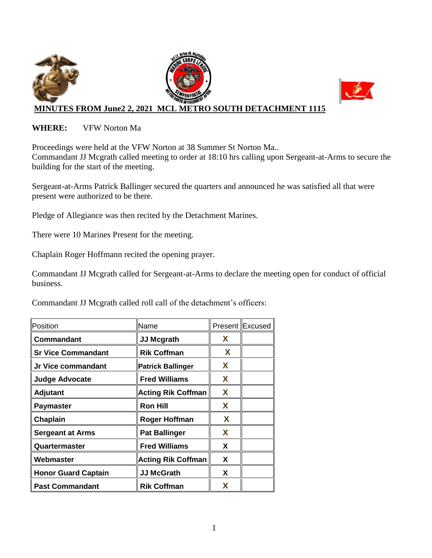

#### **WHERE:** VFW Norton Ma

Proceedings were held at the VFW Norton at 38 Summer St Norton Ma.. Commandant JJ Mcgrath called meeting to order at 18:10 hrs calling upon Sergeant-at-Arms to secure the building for the start of the meeting.

Sergeant-at-Arms Patrick Ballinger secured the quarters and announced he was satisfied all that were present were authorized to be there.

Pledge of Allegiance was then recited by the Detachment Marines.

There were 10 Marines Present for the meeting.

Chaplain Roger Hoffmann recited the opening prayer.

Commandant JJ Mcgrath called for Sergeant-at-Arms to declare the meeting open for conduct of official business.

Commandant JJ Mcgrath called roll call of the detachment's officers:

| Position                   | Name                      |   | Present Excused |
|----------------------------|---------------------------|---|-----------------|
| Commandant                 | <b>JJ Mcgrath</b>         | X |                 |
| <b>Sr Vice Commandant</b>  | <b>Rik Coffman</b>        | X |                 |
| Jr Vice commandant         | <b>Patrick Ballinger</b>  | X |                 |
| <b>Judge Advocate</b>      | <b>Fred Williams</b>      | X |                 |
| Adjutant                   | <b>Acting Rik Coffman</b> | X |                 |
| <b>Paymaster</b>           | <b>Ron Hill</b>           | X |                 |
| Chaplain                   | Roger Hoffman             | X |                 |
| <b>Sergeant at Arms</b>    | <b>Pat Ballinger</b>      | X |                 |
| Quartermaster              | <b>Fred Williams</b>      | X |                 |
| Webmaster                  | <b>Acting Rik Coffman</b> | X |                 |
| <b>Honor Guard Captain</b> | <b>JJ McGrath</b>         | X |                 |
| <b>Past Commandant</b>     | <b>Rik Coffman</b>        | X |                 |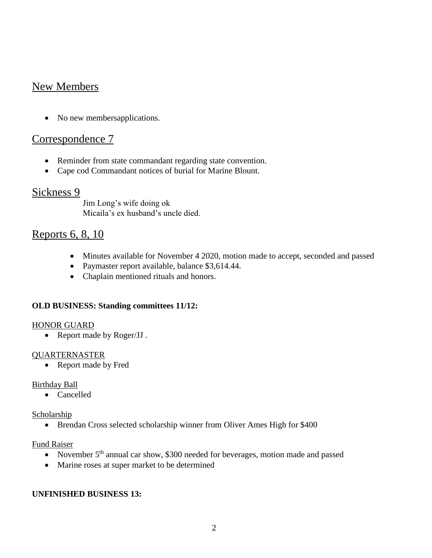# New Members

• No new membersapplications.

## Correspondence 7

- Reminder from state commandant regarding state convention.
- Cape cod Commandant notices of burial for Marine Blount.

## Sickness 9

Jim Long's wife doing ok Micaila's ex husband's uncle died.

## Reports 6, 8, 10

- Minutes available for November 4 2020, motion made to accept, seconded and passed
- Paymaster report available, balance \$3,614.44.
- Chaplain mentioned rituals and honors.

#### **OLD BUSINESS: Standing committees 11/12:**

#### HONOR GUARD

• Report made by Roger/JJ.

#### QUARTERNASTER

• Report made by Fred

#### Birthday Ball

• Cancelled

#### Scholarship

• Brendan Cross selected scholarship winner from Oliver Ames High for \$400

#### Fund Raiser

- November  $5<sup>th</sup>$  annual car show, \$300 needed for beverages, motion made and passed
- Marine roses at super market to be determined

#### **UNFINISHED BUSINESS 13:**